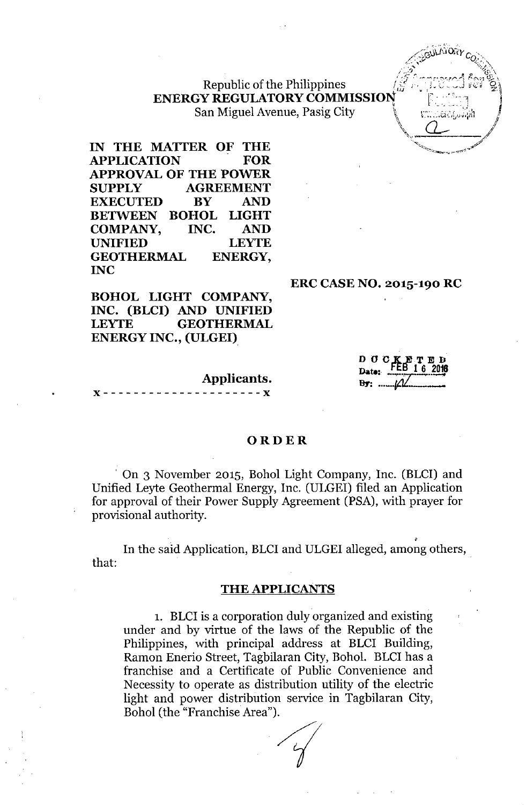# Republic of the Philippines ENERGY REGULATORY COMMISSION SY REGULATORY COMMISSION<br>San Miguel Avenue, Pasig City  $\begin{bmatrix} \cdots & \cdots & \cdots \end{bmatrix}$

IN THE MATTER OF THE<br>APPLICATION FOR **APPLICATION** APPROVAL OF THE POWER SUPPLY AGREEMENT EXECUTED BY AND BETWEEN BOHOL LIGHT COMPANY, INC. AND UNIFIED LEYTE GEOTHERMAL ENERGY, INC

BOHOL LIGHT COMPANY, INC. (BLCI) AND UNIFIED LEYTE GEOTHERMAL ENERGY INC., (ULGEI)

Applicants.<br>x------------------------

#### **ORDER**

, On 3 November 2015, Bohol Light Company, Inc. (BLCI) and Unified Leyte Geothermal Energy, Inc. (ULGEI) filed an Application for approval of their Power Supply Agreement (PSA), with prayer for provisional authority.

In the said Application, BLCI and ULGEI alleged, among others, that:

#### THE APPLICANTS

1. BLCI is a corporation duly organized and existing under and by virtue of the laws of the Republic of the Philippines, with principal address at BLCI Building, Ramon Enerio Street, Tagbilaran City, Bohol. BLCI has a franchise and a Certificate of Public Convenience and Necessity to operate as distribution utility of the electric light and power distribution service in Tagbilaran City, Bohol (the "Franchise Area").

D O C Date: <u>**FLB**</u> 1.6 201  $B$ **F:**  $\mathcal{U}$ 

ERC CASE NO. 2015-190 RC

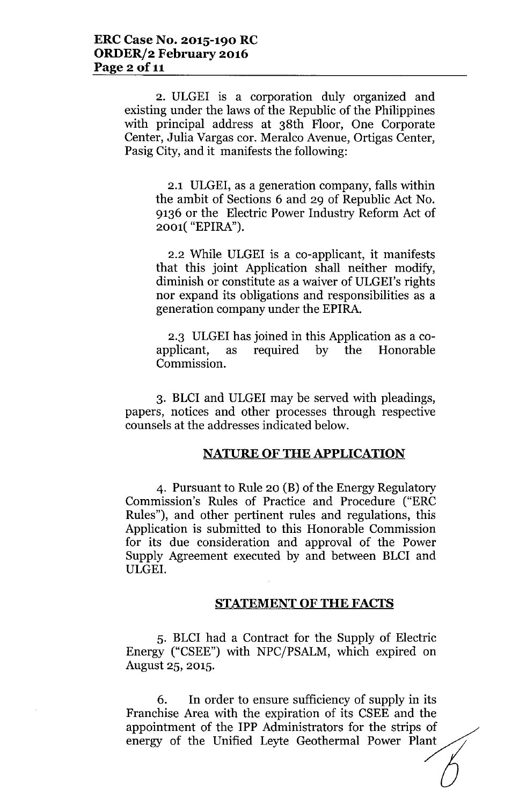2. ULGEI is a corporation duly organized and existing under the laws of the Republic of the Philippines with principal address at 38th Floor, One Corporate Center, Julia Vargas cor. Meralco Avenue, Ortigas Center, Pasig City, and it manifests the following:

2.1 ULGEI, as a generation company, falls within the ambit of Sections 6 and 29 of Republic Act No. 9136 or the Electric Power Industry Reform Act of 2001( "EPIRA").

2.2 While ULGEI is a co-applicant, it manifests that this joint Application shall neither modify, diminish or constitute as a waiver of ULGEI's rights nor expand its obligations and responsibilities as a generation company under the EPIRA.

2.3 ULGEI has joined in this Application as a coapplicant, as required by the Honorable Commission.

3. BLCI and ULGEI may be served with pleadings, papers, notices and other processes through respective counsels at the addresses indicated below.

### NATURE OF THE APPLICATION

4. Pursuant to Rule 20 (B) of the Energy Regulatory Commission's Rules of Practice and Procedure ("ERC Rules"), and other pertinent rules and regulations, this Application is submitted to this Honorable Commission for its due consideration and approval of the Power Supply Agreement executed by and between BLCI and ULGEI.

#### STATEMENT OF THE FACTS

5. BLCI had a Contract for the Supply of Electric Energy ("CSEE") with NPC/PSALM, which expired on August 25, 2015.

6. In order to ensure sufficiency of supply in its Franchise Area with the expiration of its CSEE and the appointment of the IPP Administrators for the strips of energy of the Unified Leyte Geothermal Power Plant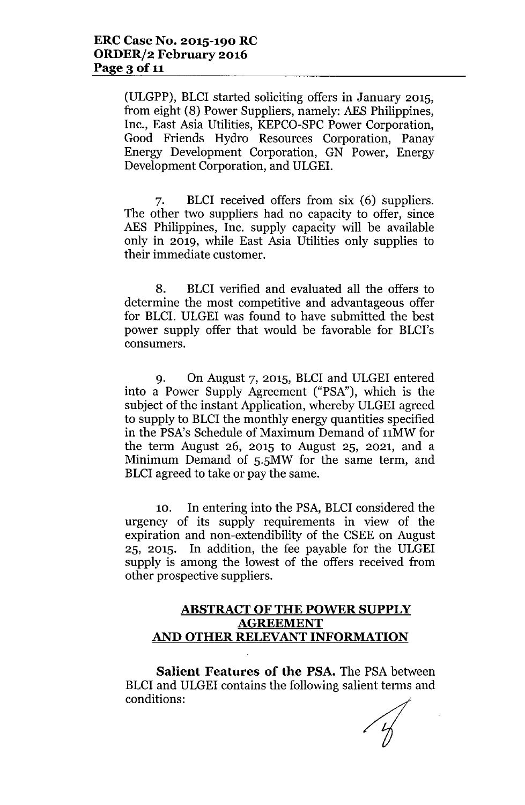(ULGPP), BLCI started soliciting offers in January 2015, from eight (8) Power Suppliers, namely: AES Philippines, Inc., East Asia Utilities, KEPCO-SPC Power Corporation, Good Friends Hydro Resources Corporation, Panay Energy Development Corporation, GN Power, Energy Development Corporation, and ULGEL

7. BLCI received offers from six (6) suppliers. The other two suppliers had no capacity to offer, since AES Philippines, Inc. supply capacity will be available only in 2019, while East Asia Utilities only supplies to their immediate customer.

8. BLCI verified and evaluated all the offers to determine the most competitive and advantageous offer for BLCL ULGEI was found to have submitted the best power supply offer that would be favorable for BLCI's consumers.

9. On August 7, 2015, BLCI and ULGEI entered into a Power Supply Agreement ("PSA"), which is the subject of the instant Application, whereby ULGEI agreed to supply to BLCI the monthly energy quantities specified in the PSA's Schedule of Maximum Demand of 11MW for the term August 26, 2015 to August 25, 2021, and a Minimum Demand of 5.5MW for the same term, and BLCI agreed to take or pay the same.

10. In entering into the PSA, BLCI considered the urgency of its supply requirements in view of the expiration and non-extendibility of the CSEE on August 25, 2015. In addition, the fee payable for the ULGEI supply is among the lowest of the offers received from other prospective suppliers.

## ABSTRACT OF THE POWER SUPPLY **AGREEMENT AND OTHER RELEVANTINFORMATION**

**Salient Features of the PSA.** The PSA between BLCI and ULGEI contains the following salient terms and conditions: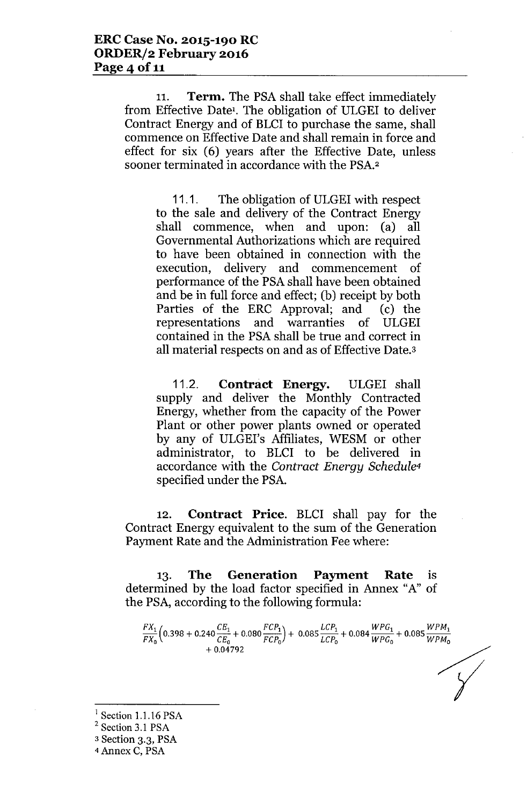11. **Term.** The PSA shall take effect immediately from Effective Date<sup>1</sup>. The obligation of ULGEI to deliver Contract Energy and of BLCI to purchase the same, shall commence on Effective Date and shall remain in force and effect for six (6) years after the Effective Date, unless sooner terminated in accordance with the PSA.2

11.1. The obligation of ULGEI with respect to the sale and delivery of the Contract Energy shall commence, when and upon: (a) all Governmental Authorizations which are required to have been obtained in connection with the execution, delivery and commencement of performance of the PSA shall have been obtained and be in full force and effect; (b) receipt by both Parties of the ERC Approval; and (c) the representations and warranties of ULGEI contained in the PSA shall be true and correct in all material respects on and as of Effective Date.3

11.2. **Contract Energy.** ULGEI shall supply and deliver the Monthly Contracted Energy, whether from the capacity of the Power Plant or other power plants owned or operated by any of ULGEI's Affiliates, WESM or other administrator, to BLCI to be delivered in accordance with the *Contract Energy Schedule<sup>4</sup>* specified under the PSA.

12. **Contract Price.** BLCI shall pay for the Contract Energy equivalent to the sum of the Generation Payment Rate and the Administration Fee where:

13. **The Generation Payment Rate** is determined by the load factor specified in Annex "A" of the PSA, according to the following formula:

 $FX_1$  ( $\circ$  202 *LCP*<sub>1</sub>  $\circ$  210<sup></sup>  $FCP_1$ )  $\circ$  00 $F$   $LCP_1$   $\circ$  00 $A$   $WPG_1$   $\circ$  00 $F$   $WPM_1$  $\frac{F}{F} = \frac{F}{T}$  (0.398 + 0.240  $\frac{F}{C}$  + 0.080  $\frac{F}{F}$  + 0.085  $\frac{F}{L}$  + 0.084  $\frac{F}{W}$  + 0.085  $\frac{F}{W}$   $\frac{F}{W}$  + 0.085  $\frac{F}{W}$   $\frac{F}{W}$  $+0.04792$ 

*Y*

 $<sup>1</sup>$  Section 1.1.16 PSA</sup>

 $2$  Section 3.1 PSA

<sup>3</sup> Section 3.3, PSA

<sup>4</sup> Annex C, PSA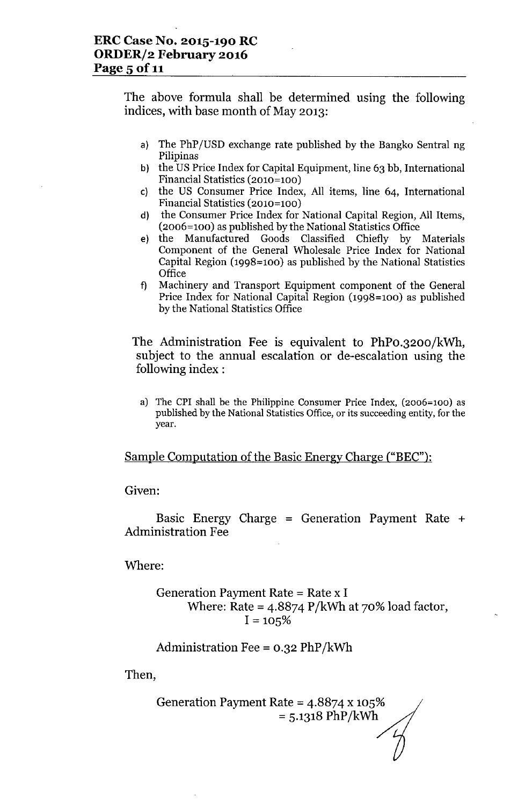The above formula shall be determined using the following indices, with base month of May 2013:

- a) The PhP(USD exchange rate published by the Bangko Sentral ng Pilipinas
- b) the US Price Index for Capital Equipment, line 63 bb, International Financial Statistics (2010=100)
- c) the US Consumer Price Index, All items, line 64, International Financial Statistics (2010=100)
- d) the Consumer Price Index for National Capital Region, All Items, (2006=100) as published by the National Statistics Office
- e) the Manufactured Goods Classified Chiefly by Materials Component of the General Wholesale Price Index for National Capital Region (1998=100) as published by the National Statistics **Office**
- f) Machinery and Transport Equipment component of the General Price Index for National Capital Region (1998=100) as published by the National Statistics Office

The Administration Fee is equivalent to PhPo.3200/kWh, subject to the annual escalation or de-escalation using the following index :

a) The CPI shall be the Philippine Consumer Price Index, (2006=100) as published by the National Statistics Office, or its succeeding entity, for the year.

### Sample Computation of the Basic Energy Charge ("BEC"):

Given:

Basic Energy Charge = Generation Payment Rate  $+$ Administration Fee

Where:

Generation Payment Rate = Rate x I

\nWhere: Rate = 
$$
4.8874 \, \text{P/kWh}
$$
 at 70% load factor,

\n $I = 105\%$ 

$$
Administration \t{Fe} = 0.32 \t{PhP/kWh}
$$

Then,

Generation Payment Rate = 4.8874 x 105%  $= 5.1318 \text{ PhP/kWh}$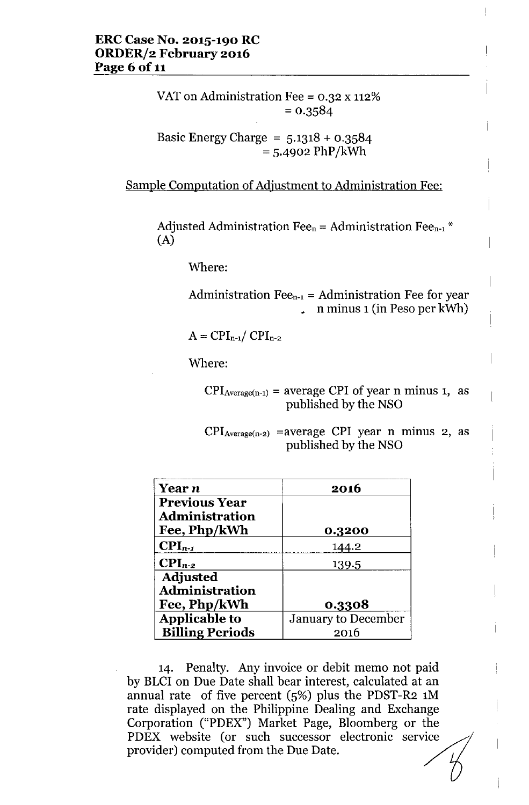VAT on Administration Fee = 0.32 x 112%  $= 0.3584$ 

$$
Basic Energy Charge = 5.1318 + 0.3584
$$

$$
= 5.4902 PhP/kWh
$$

Sample Computation of Adjustment to Administration Fee:

Adjusted Administration Fee<sub>n</sub> = Administration Fee<sub>n-1</sub> \* (A)

Where:

Administration  $\text{Fe}_{n-1}$  = Administration Fee for year  $\frac{1}{2}$  n minus 1 (in Peso per kWh)

 $A = CPI_{n-1}/CPI_{n-2}$ 

Where:

 $CPI_{Average(n-1)} = average CPI of year n minus 1, as$ published by the NSO

 $CPI_{Average(n-2)}$  =average CPI year n minus 2, as published by the NSO

| Year n                 | 2016                |  |
|------------------------|---------------------|--|
| <b>Previous Year</b>   |                     |  |
| <b>Administration</b>  |                     |  |
| Fee, Php/kWh           | 0.3200              |  |
| $\mathbf{CPI}_{n-1}$   | 144.2               |  |
| $\text{CPI}_{n-2}$     | 139.5               |  |
| <b>Adjusted</b>        |                     |  |
| <b>Administration</b>  |                     |  |
| Fee, Php/kWh           | 0.3308              |  |
| <b>Applicable to</b>   | January to December |  |
| <b>Billing Periods</b> | 2016                |  |

14. Penalty. Any invoice or debit memo not paid by BLCI on Due Date shall bear interest, calculated at an annual rate of five percent (5%) plus the PDST-R2 1M rate displayed on the Philippine Dealing and Exchange Corporation ("PDEX") Market Page, Bloomberg or the annual rate of five percent (5%) plus the PDST-R2 1M<br>rate displayed on the Philippine Dealing and Exchange<br>Corporation ("PDEX") Market Page, Bloomberg or the<br>PDEX website (or such successor electronic service<br>provider) com provider) computed from the Due Date.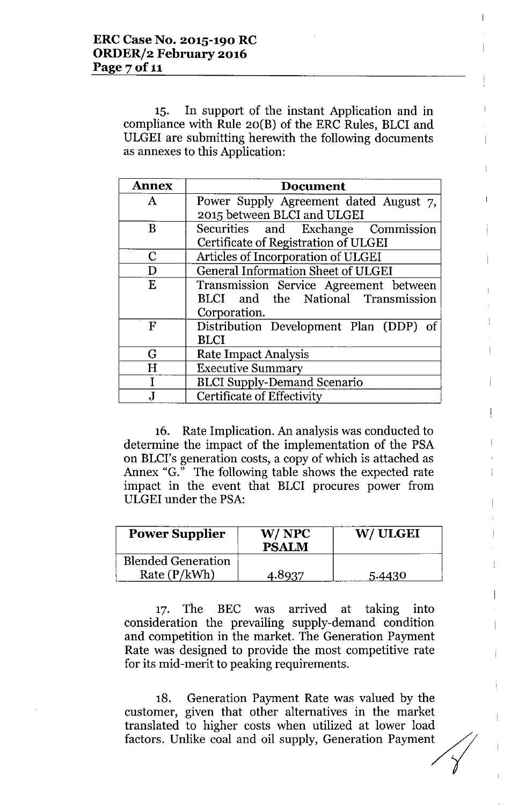15. In support of the instant Application and in compliance with Rule 20(B) of the ERC Rules, BLCI and ULGEI are submitting herewith the following documents as annexes to this Application:

| <b>Annex</b> | <b>Document</b>                           |  |  |
|--------------|-------------------------------------------|--|--|
| A            | Power Supply Agreement dated August 7,    |  |  |
|              | 2015 between BLCI and ULGEI               |  |  |
| B            | Securities and Exchange Commission        |  |  |
|              | Certificate of Registration of ULGEI      |  |  |
| C            | Articles of Incorporation of ULGEI        |  |  |
| D            | <b>General Information Sheet of ULGEI</b> |  |  |
| E            | Transmission Service Agreement between    |  |  |
|              | BLCI and the National Transmission        |  |  |
|              | Corporation.                              |  |  |
| F            | Distribution Development Plan (DDP) of    |  |  |
|              | <b>BLCI</b>                               |  |  |
| G            | Rate Impact Analysis                      |  |  |
| H            | <b>Executive Summary</b>                  |  |  |
|              | <b>BLCI Supply-Demand Scenario</b>        |  |  |
|              | Certificate of Effectivity                |  |  |

16. Rate Implication. An analysis was conducted to determine the impact of the implementation of the PSA on BLCI's generation costs, a copy of which is attached as Annex "G." The following table shows the expected rate impact in the event that BLCI procures power from ULGEI under the PSA:

| <b>Power Supplier</b>                     | W/NPC<br><b>PSALM</b> | W/ULGEI |
|-------------------------------------------|-----------------------|---------|
| <b>Blended Generation</b><br>Rate (P/kWh) | 4.8937                | 5.4430  |

17. The BEC was arrived at taking into consideration the prevailing supply-demand condition and competition in the market. The Generation Payment Rate was designed to provide the most competitive rate for its mid-merit to peaking requirements.

18. Generation Payment Rate was valued by the customer, given that other alternatives in the market translated to higher costs when utilized at lower load factors. Unlike coal and oil supply, Generation Payment

 $\overline{1}$ 

 $\mathbf{L}$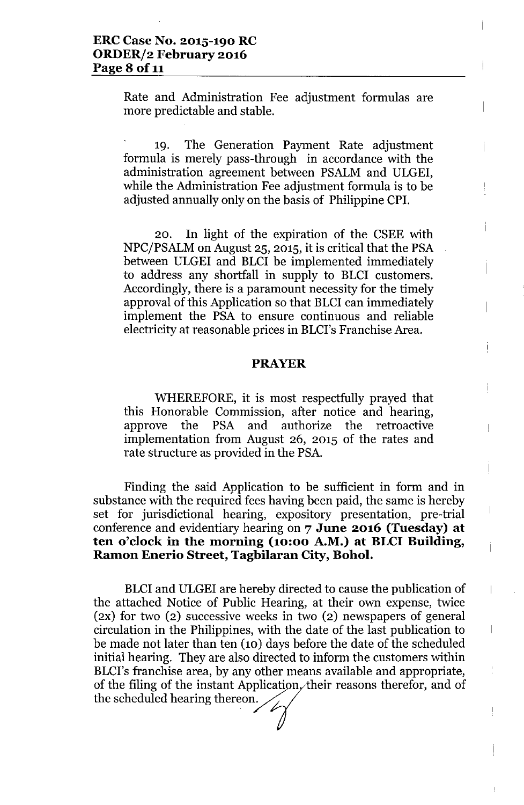Rate and Administration Fee adjustment formulas are more predictable and stable.

19. The Generation Payment Rate adjustment formula is merely pass-through in accordance with the administration agreement between PSALM and ULGEI, while the Administration Fee adjustment formula is to be adjusted annually only on the basis of Philippine CPI.

İ

 $\biggl\{$ 

 $\overline{\phantom{a}}$ 

 $\overline{\phantom{a}}$ 

20. In light of the expiration of the CSEE with NPC/PSALM on August 25, 2015, it is critical that the PSA between ULGEI and BLCI be implemented immediately to address any shortfall in supply to BLCI customers. Accordingly, there is a paramount necessity for the timely approval of this Application so that BLCI can immediately implement the PSA to ensure continuous and reliable electricity at reasonable prices in BLCI's Franchise Area.

#### **PRAYER**

WHEREFORE, it is most respectfully prayed that this Honorable Commission, after notice and hearing, approve the PSA and authorize the retroactive implementation from August 26, 2015 of the rates and rate structure as provided in the PSA.

Finding the said Application to be sufficient in form and in substance with the required fees having been paid, the same is hereby set for jurisdictional hearing, expository presentation, pre-trial conference and evidentiary hearing on 7 **June 2016 (Tuesday) at ten o'clock in the morning (10:00 A.M.) at BLCI Building, Ramon Enerio Street, Tagbilaran City, Bohol.**

BLCI and ULGEI are hereby directed to cause the publication of the attached Notice of Public Hearing, at their own expense, twice (2X) for two (2) successive weeks in two (2) newspapers of general circulation in the Philippines, with the date of the last publication to be made not later than ten (10) days before the date of the scheduled initial hearing. They are also directed to inform the customers within BLCI's franchise area, by any other means available and appropriate, of the filing of the instant Application, their reasons therefor, and of the scheduled hearing thereon.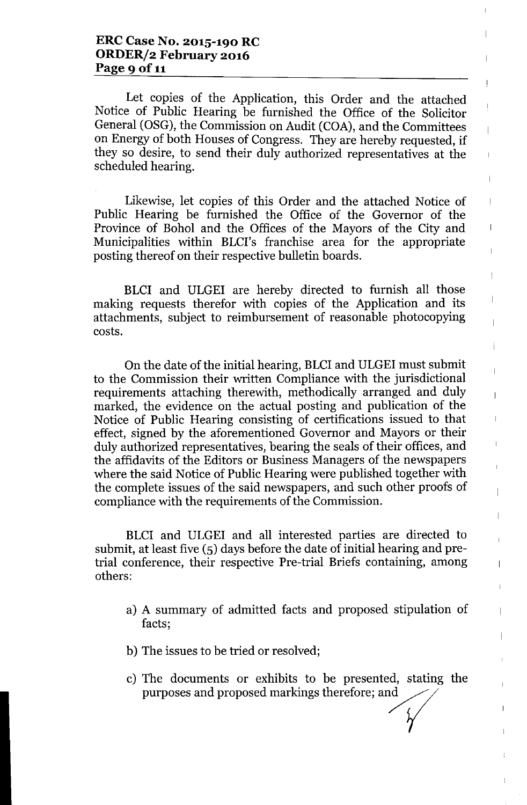Let copies of the Application, this Order and the attached Notice of Public Hearing be furnished the Office of the Solicitor General (OSG), the Commission on Audit (COA), and the Committees on Energy of both Houses of Congress. They are hereby requested, if they so desire, to send their duly authorized representatives at the scheduled hearing.

 $\overline{\phantom{a}}$ 

 $\overline{1}$ 

 $\begin{array}{c} \hline \end{array}$ 

 $\mathbf{I}$ 

 $\begin{array}{c} \hline \end{array}$ 

 $\overline{\phantom{a}}$ 

 $\overline{\phantom{a}}$ 

 $\overline{1}$ 

Ţ

 $\begin{array}{c} \hline \end{array}$ 

 $\overline{\phantom{a}}$ 

Ť

 $\overline{1}$ 

 $\mathbf I$ 

 $\mathbf{I}$ 

 $\overline{\phantom{a}}$ 

 $\overline{a}$ 

í.

 $\overline{a}$ 

 $\overline{\phantom{a}}$ 

 $\mathsf I$ 

Likewise, let copies of this Order and the attached Notice of Public Hearing be furnished the Office of the Governor of the Province of Bohol and the Offices of the Mayors of the City and Municipalities within BLCI's franchise area for the appropriate posting thereof on their respective bulletin boards.

BLCI and ULGEI are hereby directed to furnish all those making requests therefor with copies of the Application and its attachments, subject to reimbursement of reasonable photocopying costs.

On the date of the initial hearing, BLCI and ULGEI must submit to the Commission their written Compliance with the jurisdictional requirements attaching therewith, methodically arranged and duly marked, the evidence on the actual posting and publication of the Notice of Public Hearing consisting of certifications issued to that effect, signed by the aforementioned Governor and Mayors or their duly authorized representatives, bearing the seals of their offices, and the affidavits of the Editors or Business Managers of the newspapers where the said Notice of Public Hearing were published together with the complete issues of the said newspapers, and such other proofs of compliance with the requirements of the Commission.

BLCI and ULGEI and all interested parties are directed to submit, at least five (5) days before the date of initial hearing and pretrial conference, their respective Pre-trial Briefs containing, among others:

- a) A summary of admitted facts and proposed stipulation of facts;
- b) The issues to be tried or resolved;
- c) The documents or exhibits to be presented, stating the purposes and proposed markings therefore; and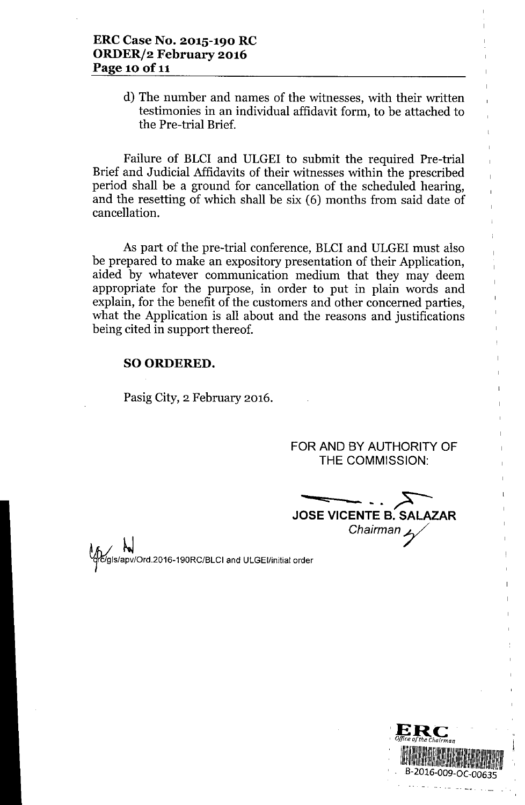d) The number and names of the witnesses, with their written testimonies in an individual affidavit form, to be attached to the Pre-trial Brief.

Failure of BLCI and ULGEI to submit the required Pre-trial Brief and Judicial Affidavits of their witnesses within the prescribed period shall be a ground for cancellation of the scheduled hearing, and the resetting of which shall be six (6) months from said date of cancellation.

As part of the pre-trial conference, BLCI and ULGEI must also be prepared to make an expository presentation of their Application, aided by whatever communication medium that they may deem appropriate for the purpose, in order to put in plain words and explain, for the benefit of the customers and other concerned parties, what the Application is all about and the reasons and justifications being cited in support thereof.

#### SO ORDERED.

Pasig City, 2 February 2016.

FOR AND BY AUTHORITY OF THE COMMISSION:

 $\longrightarrow$ JOSE VICENTE B. SALAZAI *Chairmany*

IS/apv/Ord.2016-190RC/BLCI and ULGEI/initial order